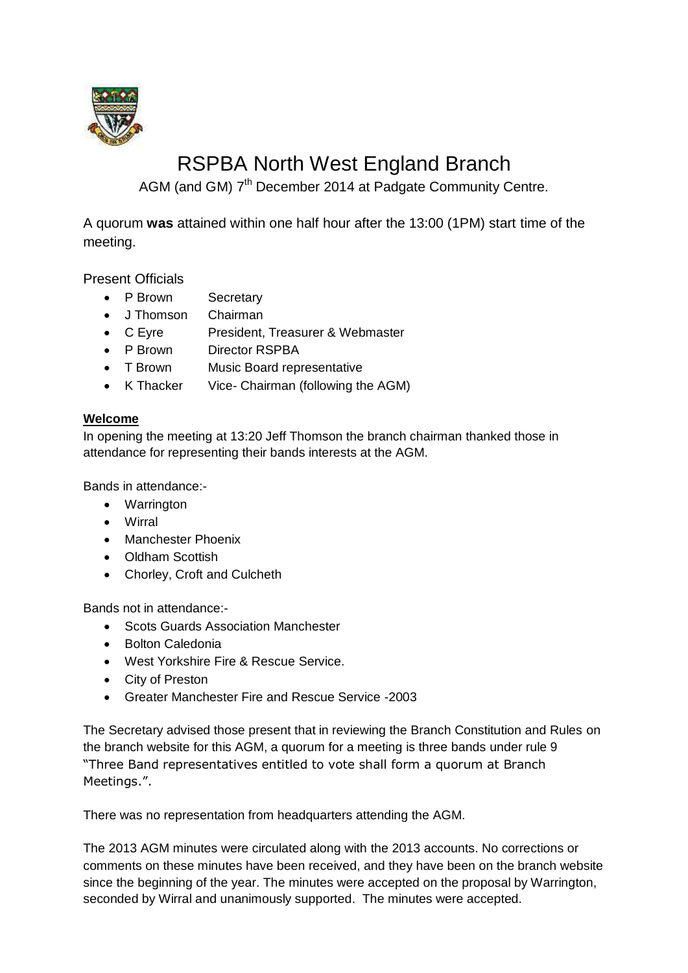

# RSPBA North West England Branch

AGM (and GM) 7<sup>th</sup> December 2014 at Padgate Community Centre.

A quorum **was** attained within one half hour after the 13:00 (1PM) start time of the meeting.

Present Officials

- P Brown Secretary
- J Thomson Chairman
- C Eyre President, Treasurer & Webmaster
- P Brown Director RSPBA
- T Brown Music Board representative
- K Thacker Vice- Chairman (following the AGM)

# **Welcome**

In opening the meeting at 13:20 Jeff Thomson the branch chairman thanked those in attendance for representing their bands interests at the AGM.

Bands in attendance:-

- Warrington
- Wirral
- Manchester Phoenix
- Oldham Scottish
- Chorley, Croft and Culcheth

Bands not in attendance:-

- Scots Guards Association Manchester
- **•** Bolton Caledonia
- West Yorkshire Fire & Rescue Service.
- City of Preston
- Greater Manchester Fire and Rescue Service -2003

The Secretary advised those present that in reviewing the Branch Constitution and Rules on the branch website for this AGM, a quorum for a meeting is three bands under rule 9 "Three Band representatives entitled to vote shall form a quorum at Branch Meetings.".

There was no representation from headquarters attending the AGM.

The 2013 AGM minutes were circulated along with the 2013 accounts. No corrections or comments on these minutes have been received, and they have been on the branch website since the beginning of the year. The minutes were accepted on the proposal by Warrington, seconded by Wirral and unanimously supported. The minutes were accepted.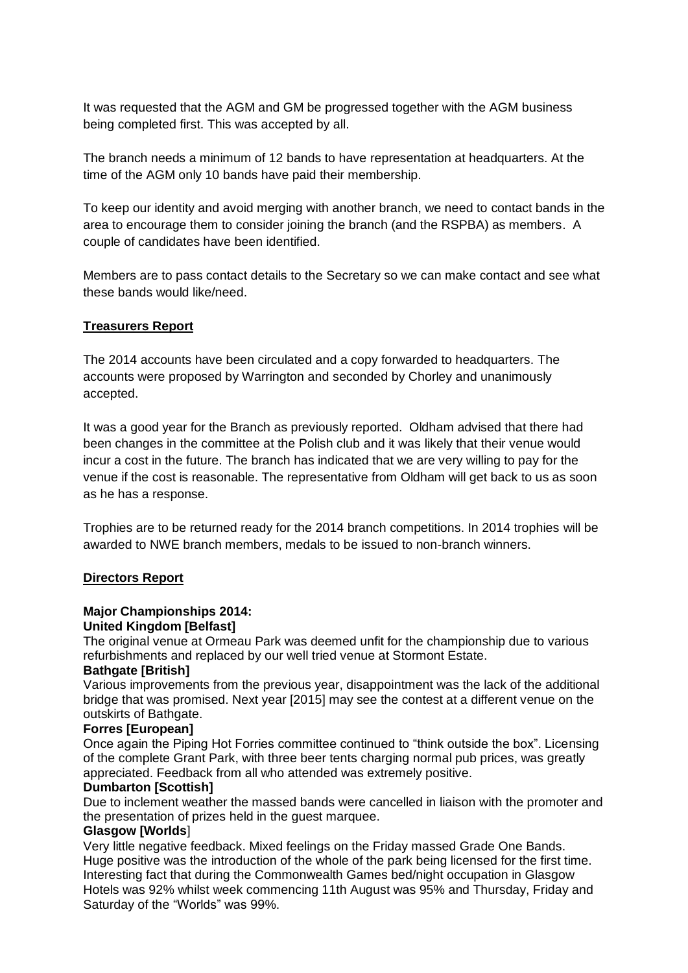It was requested that the AGM and GM be progressed together with the AGM business being completed first. This was accepted by all.

The branch needs a minimum of 12 bands to have representation at headquarters. At the time of the AGM only 10 bands have paid their membership.

To keep our identity and avoid merging with another branch, we need to contact bands in the area to encourage them to consider joining the branch (and the RSPBA) as members. A couple of candidates have been identified.

Members are to pass contact details to the Secretary so we can make contact and see what these bands would like/need.

## **Treasurers Report**

The 2014 accounts have been circulated and a copy forwarded to headquarters. The accounts were proposed by Warrington and seconded by Chorley and unanimously accepted.

It was a good year for the Branch as previously reported. Oldham advised that there had been changes in the committee at the Polish club and it was likely that their venue would incur a cost in the future. The branch has indicated that we are very willing to pay for the venue if the cost is reasonable. The representative from Oldham will get back to us as soon as he has a response.

Trophies are to be returned ready for the 2014 branch competitions. In 2014 trophies will be awarded to NWE branch members, medals to be issued to non-branch winners.

#### **Directors Report**

#### **Major Championships 2014:**

#### **United Kingdom [Belfast]**

The original venue at Ormeau Park was deemed unfit for the championship due to various refurbishments and replaced by our well tried venue at Stormont Estate.

#### **Bathgate [British]**

Various improvements from the previous year, disappointment was the lack of the additional bridge that was promised. Next year [2015] may see the contest at a different venue on the outskirts of Bathgate.

#### **Forres [European]**

Once again the Piping Hot Forries committee continued to "think outside the box". Licensing of the complete Grant Park, with three beer tents charging normal pub prices, was greatly appreciated. Feedback from all who attended was extremely positive.

#### **Dumbarton [Scottish]**

Due to inclement weather the massed bands were cancelled in liaison with the promoter and the presentation of prizes held in the guest marquee.

#### **Glasgow [Worlds**]

Very little negative feedback. Mixed feelings on the Friday massed Grade One Bands. Huge positive was the introduction of the whole of the park being licensed for the first time. Interesting fact that during the Commonwealth Games bed/night occupation in Glasgow Hotels was 92% whilst week commencing 11th August was 95% and Thursday, Friday and Saturday of the "Worlds" was 99%.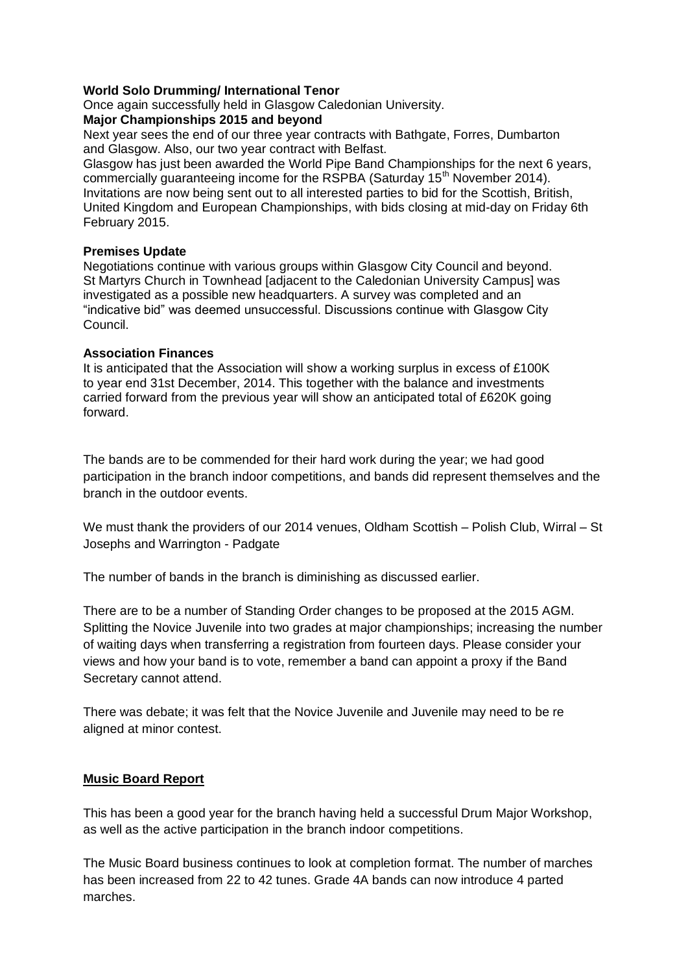# **World Solo Drumming/ International Tenor**

Once again successfully held in Glasgow Caledonian University.

## **Major Championships 2015 and beyond**

Next year sees the end of our three year contracts with Bathgate, Forres, Dumbarton and Glasgow. Also, our two year contract with Belfast.

Glasgow has just been awarded the World Pipe Band Championships for the next 6 years, commercially guaranteeing income for the RSPBA (Saturday 15<sup>th</sup> November 2014). Invitations are now being sent out to all interested parties to bid for the Scottish, British, United Kingdom and European Championships, with bids closing at mid-day on Friday 6th February 2015.

## **Premises Update**

Negotiations continue with various groups within Glasgow City Council and beyond. St Martyrs Church in Townhead [adjacent to the Caledonian University Campus] was investigated as a possible new headquarters. A survey was completed and an "indicative bid" was deemed unsuccessful. Discussions continue with Glasgow City Council.

## **Association Finances**

It is anticipated that the Association will show a working surplus in excess of £100K to year end 31st December, 2014. This together with the balance and investments carried forward from the previous year will show an anticipated total of £620K going forward.

The bands are to be commended for their hard work during the year; we had good participation in the branch indoor competitions, and bands did represent themselves and the branch in the outdoor events.

We must thank the providers of our 2014 venues, Oldham Scottish – Polish Club, Wirral – St Josephs and Warrington - Padgate

The number of bands in the branch is diminishing as discussed earlier.

There are to be a number of Standing Order changes to be proposed at the 2015 AGM. Splitting the Novice Juvenile into two grades at major championships; increasing the number of waiting days when transferring a registration from fourteen days. Please consider your views and how your band is to vote, remember a band can appoint a proxy if the Band Secretary cannot attend.

There was debate; it was felt that the Novice Juvenile and Juvenile may need to be re aligned at minor contest.

# **Music Board Report**

This has been a good year for the branch having held a successful Drum Major Workshop, as well as the active participation in the branch indoor competitions.

The Music Board business continues to look at completion format. The number of marches has been increased from 22 to 42 tunes. Grade 4A bands can now introduce 4 parted marches.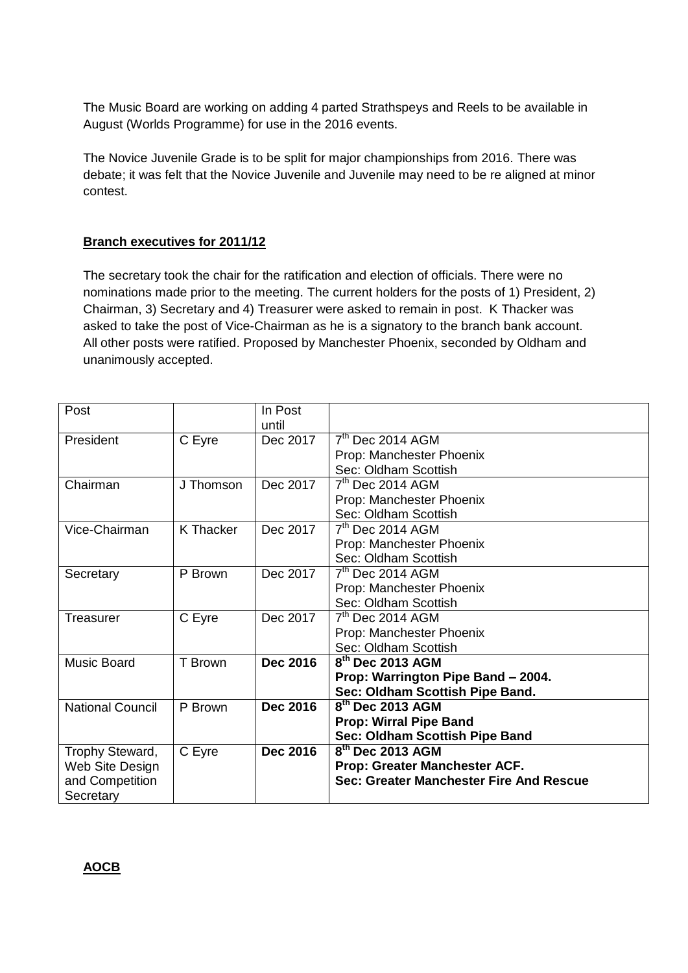The Music Board are working on adding 4 parted Strathspeys and Reels to be available in August (Worlds Programme) for use in the 2016 events.

The Novice Juvenile Grade is to be split for major championships from 2016. There was debate; it was felt that the Novice Juvenile and Juvenile may need to be re aligned at minor contest.

# **Branch executives for 2011/12**

The secretary took the chair for the ratification and election of officials. There were no nominations made prior to the meeting. The current holders for the posts of 1) President, 2) Chairman, 3) Secretary and 4) Treasurer were asked to remain in post. K Thacker was asked to take the post of Vice-Chairman as he is a signatory to the branch bank account. All other posts were ratified. Proposed by Manchester Phoenix, seconded by Oldham and unanimously accepted.

| Post                    |           | In Post         |                                         |
|-------------------------|-----------|-----------------|-----------------------------------------|
|                         |           | until           |                                         |
| President               | C Eyre    | Dec 2017        | $7th$ Dec 2014 AGM                      |
|                         |           |                 | Prop: Manchester Phoenix                |
|                         |           |                 | Sec: Oldham Scottish                    |
| Chairman                | J Thomson | Dec 2017        | $7th$ Dec 2014 AGM                      |
|                         |           |                 | Prop: Manchester Phoenix                |
|                         |           |                 | Sec: Oldham Scottish                    |
| Vice-Chairman           | K Thacker | Dec 2017        | 7 <sup>th</sup> Dec 2014 AGM            |
|                         |           |                 | Prop: Manchester Phoenix                |
|                         |           |                 | Sec: Oldham Scottish                    |
| Secretary               | P Brown   | Dec 2017        | $\overline{7^{th}}$ Dec 2014 AGM        |
|                         |           |                 | Prop: Manchester Phoenix                |
|                         |           |                 | Sec: Oldham Scottish                    |
| Treasurer               | C Eyre    | Dec 2017        | $7th$ Dec 2014 AGM                      |
|                         |           |                 | Prop: Manchester Phoenix                |
|                         |           |                 | Sec: Oldham Scottish                    |
| <b>Music Board</b>      | T Brown   | <b>Dec 2016</b> | $8th$ Dec 2013 AGM                      |
|                         |           |                 | Prop: Warrington Pipe Band - 2004.      |
|                         |           |                 | Sec: Oldham Scottish Pipe Band.         |
| <b>National Council</b> | P Brown   | Dec 2016        | $8th$ Dec 2013 AGM                      |
|                         |           |                 | <b>Prop: Wirral Pipe Band</b>           |
|                         |           |                 | Sec: Oldham Scottish Pipe Band          |
| Trophy Steward,         | C Eyre    | <b>Dec 2016</b> | 8 <sup>th</sup> Dec 2013 AGM            |
| Web Site Design         |           |                 | Prop: Greater Manchester ACF.           |
| and Competition         |           |                 | Sec: Greater Manchester Fire And Rescue |
| Secretary               |           |                 |                                         |

## **AOCB**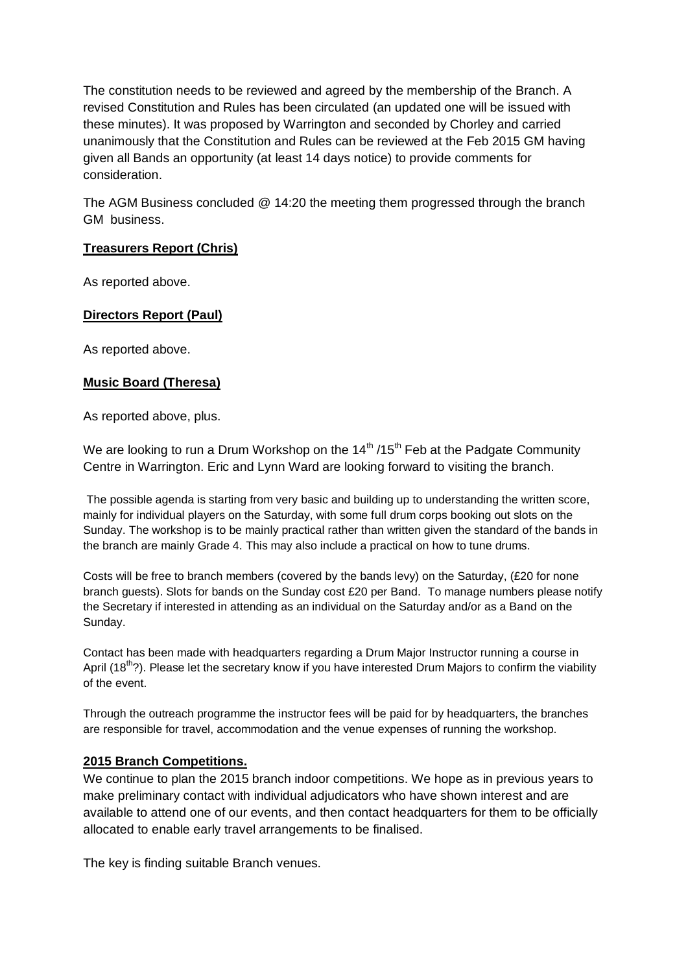The constitution needs to be reviewed and agreed by the membership of the Branch. A revised Constitution and Rules has been circulated (an updated one will be issued with these minutes). It was proposed by Warrington and seconded by Chorley and carried unanimously that the Constitution and Rules can be reviewed at the Feb 2015 GM having given all Bands an opportunity (at least 14 days notice) to provide comments for consideration.

The AGM Business concluded @ 14:20 the meeting them progressed through the branch GM business.

# **Treasurers Report (Chris)**

As reported above.

# **Directors Report (Paul)**

As reported above.

## **Music Board (Theresa)**

As reported above, plus.

We are looking to run a Drum Workshop on the  $14<sup>th</sup> / 15<sup>th</sup>$  Feb at the Padgate Community Centre in Warrington. Eric and Lynn Ward are looking forward to visiting the branch.

The possible agenda is starting from very basic and building up to understanding the written score, mainly for individual players on the Saturday, with some full drum corps booking out slots on the Sunday. The workshop is to be mainly practical rather than written given the standard of the bands in the branch are mainly Grade 4. This may also include a practical on how to tune drums.

Costs will be free to branch members (covered by the bands levy) on the Saturday, (£20 for none branch guests). Slots for bands on the Sunday cost £20 per Band. To manage numbers please notify the Secretary if interested in attending as an individual on the Saturday and/or as a Band on the Sunday.

Contact has been made with headquarters regarding a Drum Major Instructor running a course in April  $(18<sup>th</sup>)$ . Please let the secretary know if you have interested Drum Majors to confirm the viability of the event.

Through the outreach programme the instructor fees will be paid for by headquarters, the branches are responsible for travel, accommodation and the venue expenses of running the workshop.

## **2015 Branch Competitions.**

We continue to plan the 2015 branch indoor competitions. We hope as in previous years to make preliminary contact with individual adjudicators who have shown interest and are available to attend one of our events, and then contact headquarters for them to be officially allocated to enable early travel arrangements to be finalised.

The key is finding suitable Branch venues.